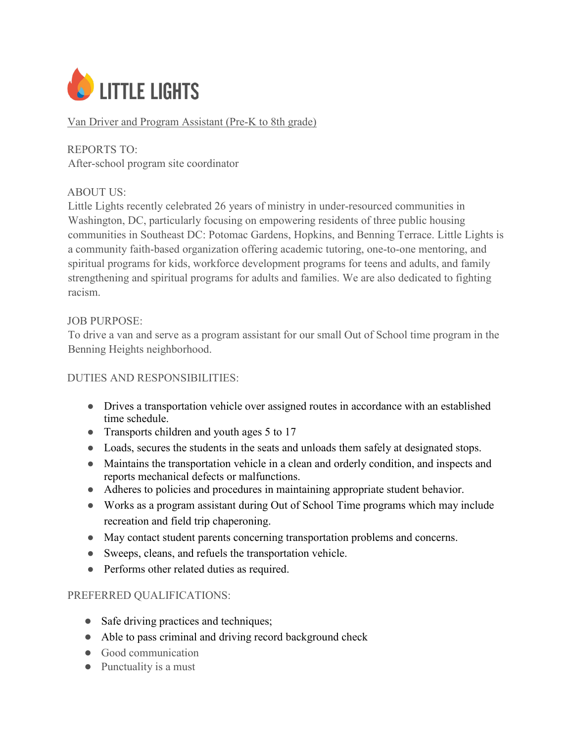

## Van Driver and Program Assistant (Pre-K to 8th grade)

REPORTS TO: After-school program site coordinator

### ABOUT US:

Little Lights recently celebrated 26 years of ministry in under-resourced communities in Washington, DC, particularly focusing on empowering residents of three public housing communities in Southeast DC: Potomac Gardens, Hopkins, and Benning Terrace. Little Lights is a community faith-based organization offering academic tutoring, one-to-one mentoring, and spiritual programs for kids, workforce development programs for teens and adults, and family strengthening and spiritual programs for adults and families. We are also dedicated to fighting racism.

#### JOB PURPOSE:

To drive a van and serve as a program assistant for our small Out of School time program in the Benning Heights neighborhood.

### DUTIES AND RESPONSIBILITIES:

- Drives a transportation vehicle over assigned routes in accordance with an established time schedule.
- Transports children and youth ages 5 to 17
- Loads, secures the students in the seats and unloads them safely at designated stops.
- Maintains the transportation vehicle in a clean and orderly condition, and inspects and reports mechanical defects or malfunctions.
- Adheres to policies and procedures in maintaining appropriate student behavior.
- Works as a program assistant during Out of School Time programs which may include recreation and field trip chaperoning.
- May contact student parents concerning transportation problems and concerns.
- Sweeps, cleans, and refuels the transportation vehicle.
- Performs other related duties as required.

### PREFERRED QUALIFICATIONS:

- Safe driving practices and techniques;
- Able to pass criminal and driving record background check
- Good communication
- Punctuality is a must